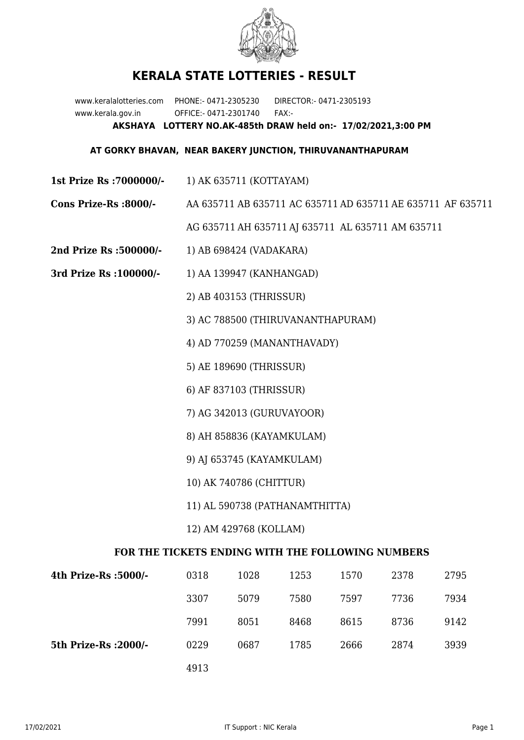

## **KERALA STATE LOTTERIES - RESULT**

www.keralalotteries.com PHONE:- 0471-2305230 DIRECTOR:- 0471-2305193 www.kerala.gov.in OFFICE:- 0471-2301740 FAX:- **AKSHAYA LOTTERY NO.AK-485th DRAW held on:- 17/02/2021,3:00 PM**

## **AT GORKY BHAVAN, NEAR BAKERY JUNCTION, THIRUVANANTHAPURAM**

- **1st Prize Rs :7000000/-** 1) AK 635711 (KOTTAYAM)
- **Cons Prize-Rs :8000/-** AA 635711 AB 635711 AC 635711 AD 635711 AE 635711 AF 635711

AG 635711 AH 635711 AJ 635711 AL 635711 AM 635711

- **2nd Prize Rs :500000/-** 1) AB 698424 (VADAKARA)
- **3rd Prize Rs :100000/-** 1) AA 139947 (KANHANGAD)

2) AB 403153 (THRISSUR)

- 3) AC 788500 (THIRUVANANTHAPURAM)
- 4) AD 770259 (MANANTHAVADY)
- 5) AE 189690 (THRISSUR)
- 6) AF 837103 (THRISSUR)
- 7) AG 342013 (GURUVAYOOR)
- 8) AH 858836 (KAYAMKULAM)
- 9) AJ 653745 (KAYAMKULAM)
- 10) AK 740786 (CHITTUR)
- 11) AL 590738 (PATHANAMTHITTA)
- 12) AM 429768 (KOLLAM)

## **FOR THE TICKETS ENDING WITH THE FOLLOWING NUMBERS**

| 4th Prize-Rs :5000/-  | 0318 | 1028 | 1253 | 1570 | 2378 | 2795 |
|-----------------------|------|------|------|------|------|------|
|                       | 3307 | 5079 | 7580 | 7597 | 7736 | 7934 |
|                       | 7991 | 8051 | 8468 | 8615 | 8736 | 9142 |
| 5th Prize-Rs : 2000/- | 0229 | 0687 | 1785 | 2666 | 2874 | 3939 |
|                       | 4913 |      |      |      |      |      |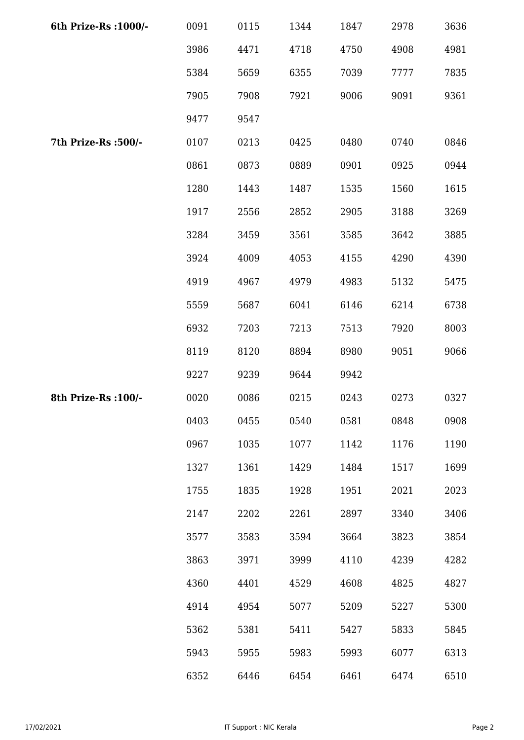| 6th Prize-Rs : 1000/- | 0091 | 0115 | 1344 | 1847 | 2978 | 3636 |
|-----------------------|------|------|------|------|------|------|
|                       | 3986 | 4471 | 4718 | 4750 | 4908 | 4981 |
|                       | 5384 | 5659 | 6355 | 7039 | 7777 | 7835 |
|                       | 7905 | 7908 | 7921 | 9006 | 9091 | 9361 |
|                       | 9477 | 9547 |      |      |      |      |
| 7th Prize-Rs :500/-   | 0107 | 0213 | 0425 | 0480 | 0740 | 0846 |
|                       | 0861 | 0873 | 0889 | 0901 | 0925 | 0944 |
|                       | 1280 | 1443 | 1487 | 1535 | 1560 | 1615 |
|                       | 1917 | 2556 | 2852 | 2905 | 3188 | 3269 |
|                       | 3284 | 3459 | 3561 | 3585 | 3642 | 3885 |
|                       | 3924 | 4009 | 4053 | 4155 | 4290 | 4390 |
|                       | 4919 | 4967 | 4979 | 4983 | 5132 | 5475 |
|                       | 5559 | 5687 | 6041 | 6146 | 6214 | 6738 |
|                       | 6932 | 7203 | 7213 | 7513 | 7920 | 8003 |
|                       | 8119 | 8120 | 8894 | 8980 | 9051 | 9066 |
|                       | 9227 | 9239 | 9644 | 9942 |      |      |
| 8th Prize-Rs : 100/-  | 0020 | 0086 | 0215 | 0243 | 0273 | 0327 |
|                       | 0403 | 0455 | 0540 | 0581 | 0848 | 0908 |
|                       | 0967 | 1035 | 1077 | 1142 | 1176 | 1190 |
|                       | 1327 | 1361 | 1429 | 1484 | 1517 | 1699 |
|                       | 1755 | 1835 | 1928 | 1951 | 2021 | 2023 |
|                       | 2147 | 2202 | 2261 | 2897 | 3340 | 3406 |
|                       | 3577 | 3583 | 3594 | 3664 | 3823 | 3854 |
|                       | 3863 | 3971 | 3999 | 4110 | 4239 | 4282 |
|                       | 4360 | 4401 | 4529 | 4608 | 4825 | 4827 |
|                       | 4914 | 4954 | 5077 | 5209 | 5227 | 5300 |
|                       | 5362 | 5381 | 5411 | 5427 | 5833 | 5845 |
|                       | 5943 | 5955 | 5983 | 5993 | 6077 | 6313 |
|                       | 6352 | 6446 | 6454 | 6461 | 6474 | 6510 |